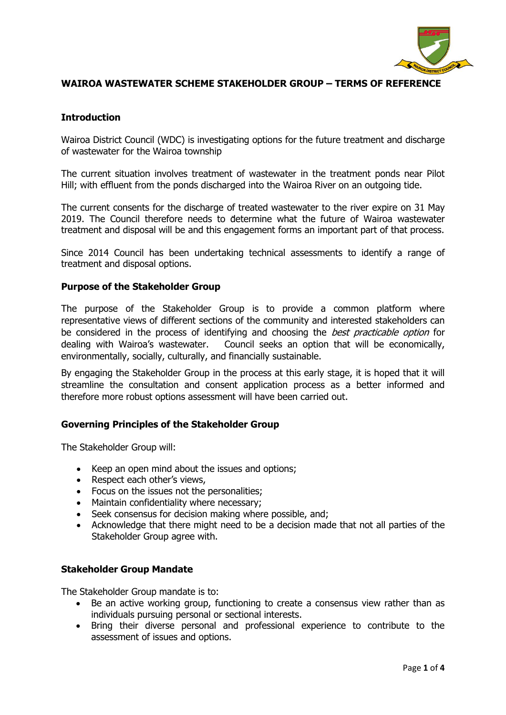

# **WAIROA WASTEWATER SCHEME STAKEHOLDER GROUP – TERMS OF REFERENCE**

## **Introduction**

Wairoa District Council (WDC) is investigating options for the future treatment and discharge of wastewater for the Wairoa township

The current situation involves treatment of wastewater in the treatment ponds near Pilot Hill; with effluent from the ponds discharged into the Wairoa River on an outgoing tide.

The current consents for the discharge of treated wastewater to the river expire on 31 May 2019. The Council therefore needs to determine what the future of Wairoa wastewater treatment and disposal will be and this engagement forms an important part of that process.

Since 2014 Council has been undertaking technical assessments to identify a range of treatment and disposal options.

### **Purpose of the Stakeholder Group**

The purpose of the Stakeholder Group is to provide a common platform where representative views of different sections of the community and interested stakeholders can be considered in the process of identifying and choosing the *best practicable option* for dealing with Wairoa's wastewater. Council seeks an option that will be economically, environmentally, socially, culturally, and financially sustainable.

By engaging the Stakeholder Group in the process at this early stage, it is hoped that it will streamline the consultation and consent application process as a better informed and therefore more robust options assessment will have been carried out.

### **Governing Principles of the Stakeholder Group**

The Stakeholder Group will:

- Keep an open mind about the issues and options;
- Respect each other's views,
- Focus on the issues not the personalities;
- Maintain confidentiality where necessary;
- Seek consensus for decision making where possible, and;
- Acknowledge that there might need to be a decision made that not all parties of the Stakeholder Group agree with.

#### **Stakeholder Group Mandate**

The Stakeholder Group mandate is to:

- Be an active working group, functioning to create a consensus view rather than as individuals pursuing personal or sectional interests.
- Bring their diverse personal and professional experience to contribute to the assessment of issues and options.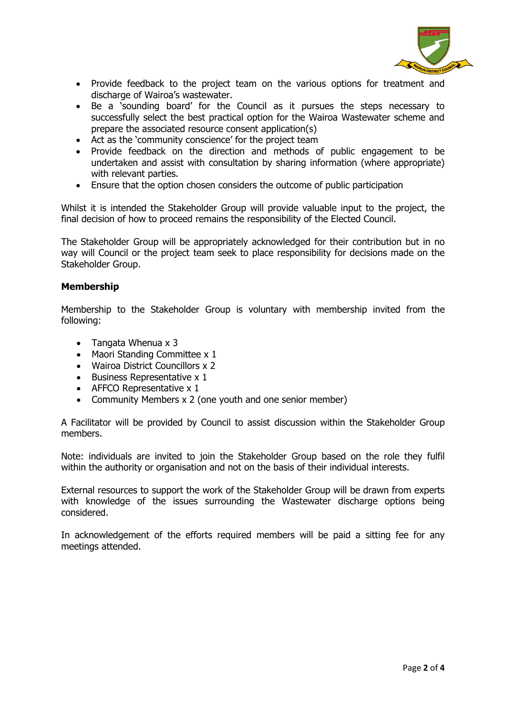

- Provide feedback to the project team on the various options for treatment and discharge of Wairoa's wastewater.
- Be a 'sounding board' for the Council as it pursues the steps necessary to successfully select the best practical option for the Wairoa Wastewater scheme and prepare the associated resource consent application(s)
- Act as the 'community conscience' for the project team
- Provide feedback on the direction and methods of public engagement to be undertaken and assist with consultation by sharing information (where appropriate) with relevant parties.
- Ensure that the option chosen considers the outcome of public participation

Whilst it is intended the Stakeholder Group will provide valuable input to the project, the final decision of how to proceed remains the responsibility of the Elected Council.

The Stakeholder Group will be appropriately acknowledged for their contribution but in no way will Council or the project team seek to place responsibility for decisions made on the Stakeholder Group.

### **Membership**

Membership to the Stakeholder Group is voluntary with membership invited from the following:

- Tangata Whenua x 3
- Maori Standing Committee x 1
- Wairoa District Councillors x 2
- Business Representative x 1
- AFFCO Representative x 1
- Community Members x 2 (one youth and one senior member)

A Facilitator will be provided by Council to assist discussion within the Stakeholder Group members.

Note: individuals are invited to join the Stakeholder Group based on the role they fulfil within the authority or organisation and not on the basis of their individual interests.

External resources to support the work of the Stakeholder Group will be drawn from experts with knowledge of the issues surrounding the Wastewater discharge options being considered.

In acknowledgement of the efforts required members will be paid a sitting fee for any meetings attended.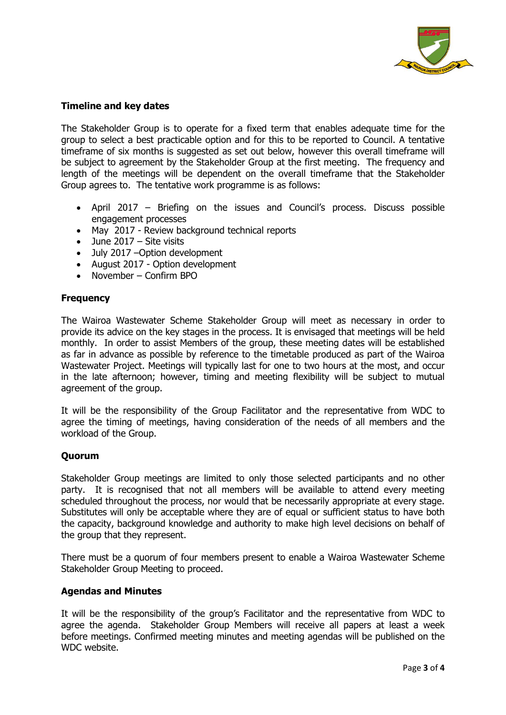

# **Timeline and key dates**

The Stakeholder Group is to operate for a fixed term that enables adequate time for the group to select a best practicable option and for this to be reported to Council. A tentative timeframe of six months is suggested as set out below, however this overall timeframe will be subject to agreement by the Stakeholder Group at the first meeting. The frequency and length of the meetings will be dependent on the overall timeframe that the Stakeholder Group agrees to. The tentative work programme is as follows:

- April 2017 Briefing on the issues and Council's process. Discuss possible engagement processes
- May 2017 Review background technical reports
- June 2017 Site visits
- July 2017 –Option development
- August 2017 Option development
- November Confirm BPO

### **Frequency**

The Wairoa Wastewater Scheme Stakeholder Group will meet as necessary in order to provide its advice on the key stages in the process. It is envisaged that meetings will be held monthly. In order to assist Members of the group, these meeting dates will be established as far in advance as possible by reference to the timetable produced as part of the Wairoa Wastewater Project. Meetings will typically last for one to two hours at the most, and occur in the late afternoon; however, timing and meeting flexibility will be subject to mutual agreement of the group.

It will be the responsibility of the Group Facilitator and the representative from WDC to agree the timing of meetings, having consideration of the needs of all members and the workload of the Group.

### **Quorum**

Stakeholder Group meetings are limited to only those selected participants and no other party. It is recognised that not all members will be available to attend every meeting scheduled throughout the process, nor would that be necessarily appropriate at every stage. Substitutes will only be acceptable where they are of equal or sufficient status to have both the capacity, background knowledge and authority to make high level decisions on behalf of the group that they represent.

There must be a quorum of four members present to enable a Wairoa Wastewater Scheme Stakeholder Group Meeting to proceed.

### **Agendas and Minutes**

It will be the responsibility of the group's Facilitator and the representative from WDC to agree the agenda. Stakeholder Group Members will receive all papers at least a week before meetings. Confirmed meeting minutes and meeting agendas will be published on the WDC website.